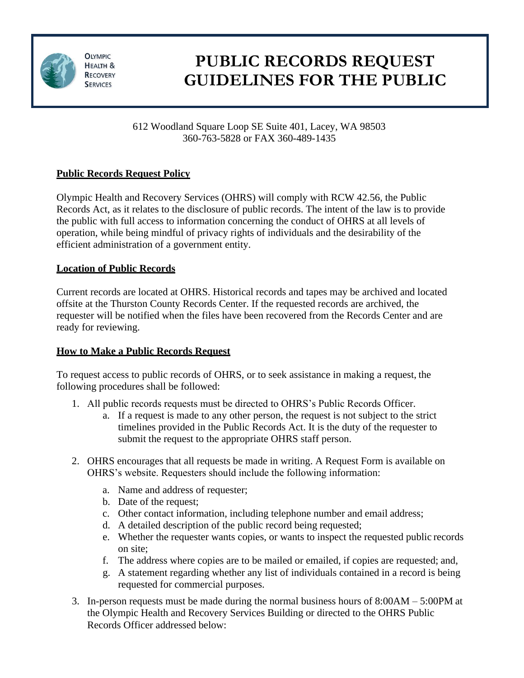

**OLYMPIC HEALTH & RECOVERY SERVICES** 

# **PUBLIC RECORDS REQUEST GUIDELINES FOR THE PUBLIC**

612 Woodland Square Loop SE Suite 401, Lacey, WA 98503 360-763-5828 or FAX 360-489-1435

## **Public Records Request Policy**

Olympic Health and Recovery Services (OHRS) will comply with RCW 42.56, the Public Records Act, as it relates to the disclosure of public records. The intent of the law is to provide the public with full access to information concerning the conduct of OHRS at all levels of operation, while being mindful of privacy rights of individuals and the desirability of the efficient administration of a government entity.

## **Location of Public Records**

Current records are located at OHRS. Historical records and tapes may be archived and located offsite at the Thurston County Records Center. If the requested records are archived, the requester will be notified when the files have been recovered from the Records Center and are ready for reviewing.

## **How to Make a Public Records Request**

To request access to public records of OHRS, or to seek assistance in making a request, the following procedures shall be followed:

- 1. All public records requests must be directed to OHRS's Public Records Officer.
	- a. If a request is made to any other person, the request is not subject to the strict timelines provided in the Public Records Act. It is the duty of the requester to submit the request to the appropriate OHRS staff person.
- 2. OHRS encourages that all requests be made in writing. A Request Form is available on OHRS's website. Requesters should include the following information:
	- a. Name and address of requester;
	- b. Date of the request;
	- c. Other contact information, including telephone number and email address;
	- d. A detailed description of the public record being requested;
	- e. Whether the requester wants copies, or wants to inspect the requested public records on site;
	- f. The address where copies are to be mailed or emailed, if copies are requested; and,
	- g. A statement regarding whether any list of individuals contained in a record is being requested for commercial purposes.
- 3. In-person requests must be made during the normal business hours of 8:00AM 5:00PM at the Olympic Health and Recovery Services Building or directed to the OHRS Public Records Officer addressed below: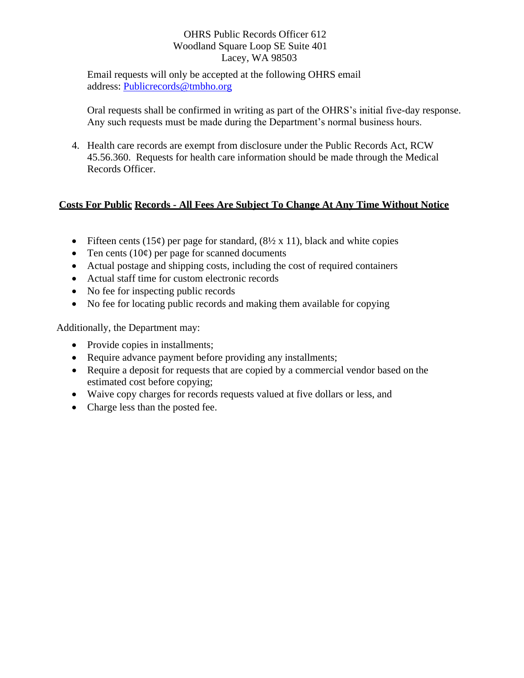#### OHRS Public Records Officer 612 Woodland Square Loop SE Suite 401 Lacey, WA 98503

Email requests will only be accepted at the following OHRS email address: [Publicrecords@tmbho.org](mailto:Publicrecords@tmbho.org)

Oral requests shall be confirmed in writing as part of the OHRS's initial five-day response. Any such requests must be made during the Department's normal business hours.

4. Health care records are exempt from disclosure under the Public Records Act, RCW 45.56.360. Requests for health care information should be made through the Medical Records Officer.

### **Costs For Public Records - All Fees Are Subject To Change At Any Time Without Notice**

- Fifteen cents (15¢) per page for standard,  $(8\frac{1}{2} \times 11)$ , black and white copies
- Ten cents  $(10¢)$  per page for scanned documents
- Actual postage and shipping costs, including the cost of required containers
- Actual staff time for custom electronic records
- No fee for inspecting public records
- No fee for locating public records and making them available for copying

Additionally, the Department may:

- Provide copies in installments;
- Require advance payment before providing any installments;
- Require a deposit for requests that are copied by a commercial vendor based on the estimated cost before copying;
- Waive copy charges for records requests valued at five dollars or less, and
- Charge less than the posted fee.